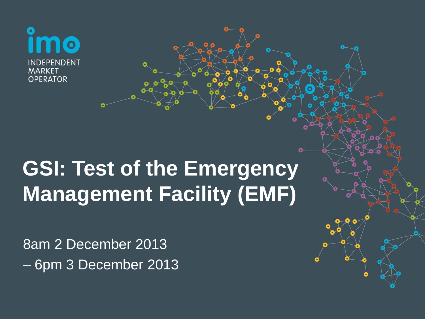

# **GSI: Test of the Emergency Management Facility (EMF)**

8am 2 December 2013 – 6pm 3 December 2013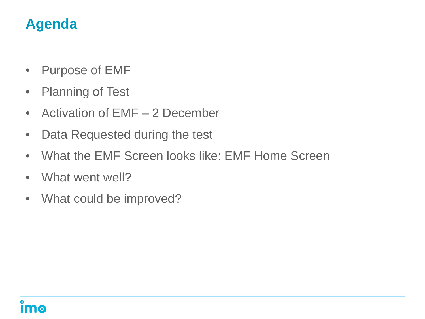### **Agenda**

- Purpose of EMF
- Planning of Test
- Activation of EMF 2 December
- Data Requested during the test
- What the FMF Screen looks like: FMF Home Screen
- What went well?
- What could be improved?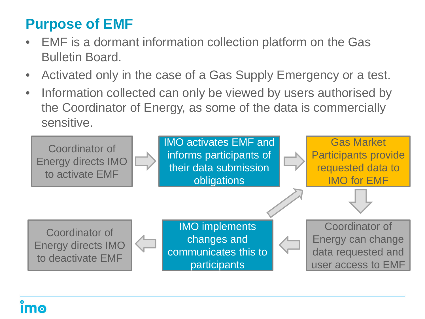## **Purpose of EMF**

- EMF is a dormant information collection platform on the Gas Bulletin Board.
- Activated only in the case of a Gas Supply Emergency or a test.
- Information collected can only be viewed by users authorised by the Coordinator of Energy, as some of the data is commercially sensitive.

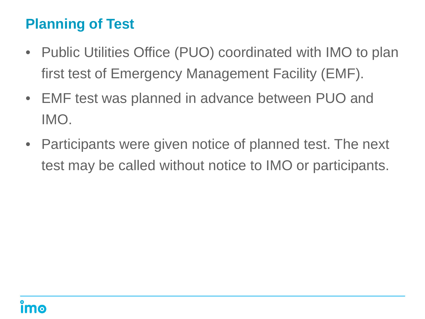## **Planning of Test**

- Public Utilities Office (PUO) coordinated with IMO to plan first test of Emergency Management Facility (EMF).
- EMF test was planned in advance between PUO and IMO.
- Participants were given notice of planned test. The next test may be called without notice to IMO or participants.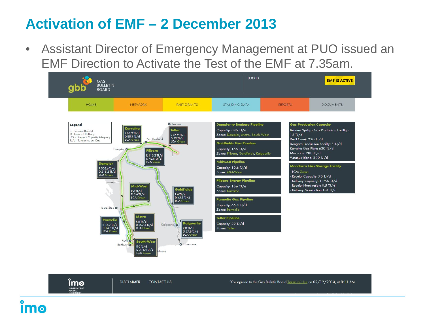### **Activation of EMF – 2 December 2013**

• Assistant Director of Emergency Management at PUO issued an EMF Direction to Activate the Test of the EMF at 7.35am.





**DISCLAIMER CONTACT US**  You agreed to the Gas Bulletin Board Terms of Use on 02/12/2013, at 8:11 AM

## **imo**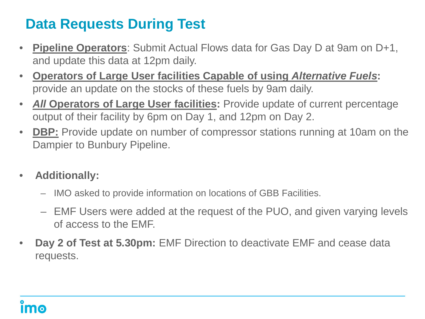## **Data Requests During Test**

- **Pipeline Operators**: Submit Actual Flows data for Gas Day D at 9am on D+1, and update this data at 12pm daily.
- **Operators of Large User facilities Capable of using** *Alternative Fuels***:** provide an update on the stocks of these fuels by 9am daily.
- *All* **Operators of Large User facilities:** Provide update of current percentage output of their facility by 6pm on Day 1, and 12pm on Day 2.
- **DBP:** Provide update on number of compressor stations running at 10am on the Dampier to Bunbury Pipeline.
- **Additionally:** 
	- IMO asked to provide information on locations of GBB Facilities.
	- EMF Users were added at the request of the PUO, and given varying levels of access to the EMF.
- **Day 2 of Test at 5.30pm:** EMF Direction to deactivate EMF and cease data requests.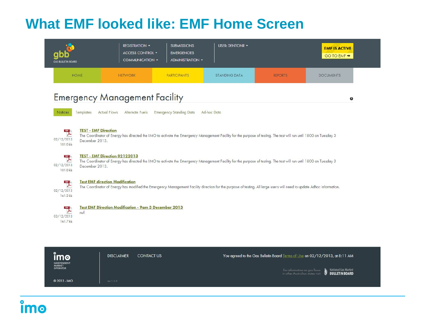### **What EMF looked like: EMF Home Screen**

| <b>GAS BULLETIN BOARD</b> | REGISTRATION T<br>ACCESS CONTROL -<br>COMMUNICATION - | <b>SUBMISSIONS</b><br><b>EMERGENCIES</b><br>ADMINISTRATION - |                      | <b>USER: DENTONR <math>\blacktriangledown</math></b> |                  |  |
|---------------------------|-------------------------------------------------------|--------------------------------------------------------------|----------------------|------------------------------------------------------|------------------|--|
| <b>HOME</b>               | NETWORK.                                              | <b>PARTICIPANTS</b>                                          | <b>STANDING DATA</b> | <b>REPORTS</b>                                       | <b>DOCUMENTS</b> |  |

 $\bullet$ 

### **Emergency Management Facility**

Notices Templates Actual Flows Alternate Fuels Emergency Standing Data Ad-hoc Data



### **TEST - EMF Direction**

The Coordinator of Energy has directed the IMO to activate the Emergency Management Facility for the purpose of testing. The test will run until 1800 on Tuesday 3 December 2013.



### TEST - EMF Direction 02122013

The Coordinator of Energy has directed the IMO to activate the Emergency Management Facility for the purpose of testing. The test will run until 1800 on Tuesday 3 December 2013.



### **Test EMF direction Modification**

The Coordinator of Energy has modified the Emergency Management Facility direction for the purpose of testing. All large users will need to update Adhoc information.



#### Test EMF Direction Modification - 9am 3 December 2013 null

161.7kb

| imo<br><b>INDEPENDENT</b>        | <b>DISCLAIMER</b> | <b>CONTACT US</b> | You agreed to the Gas Bulletin Board Terms of Use on 02/12/2013, at 8:11 AM |  |  |  |
|----------------------------------|-------------------|-------------------|-----------------------------------------------------------------------------|--|--|--|
| <b>MARKET</b><br><b>OPERATOR</b> |                   |                   | For information on gas flows National Gas Market                            |  |  |  |
| © 2013 - IMO                     | rev 1.0.9         |                   |                                                                             |  |  |  |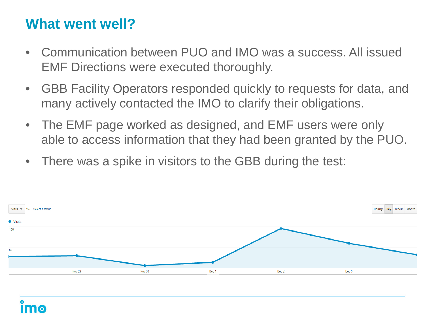### **What went well?**

- Communication between PUO and IMO was a success. All issued EMF Directions were executed thoroughly.
- GBB Facility Operators responded quickly to requests for data, and many actively contacted the IMO to clarify their obligations.
- The EMF page worked as designed, and EMF users were only able to access information that they had been granted by the PUO.
- There was a spike in visitors to the GBB during the test:

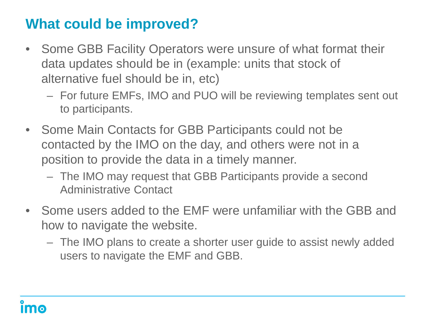### **What could be improved?**

- Some GBB Facility Operators were unsure of what format their data updates should be in (example: units that stock of alternative fuel should be in, etc)
	- For future EMFs, IMO and PUO will be reviewing templates sent out to participants.
- Some Main Contacts for GBB Participants could not be contacted by the IMO on the day, and others were not in a position to provide the data in a timely manner.
	- The IMO may request that GBB Participants provide a second Administrative Contact
- Some users added to the EMF were unfamiliar with the GBB and how to navigate the website.
	- The IMO plans to create a shorter user guide to assist newly added users to navigate the EMF and GBB.